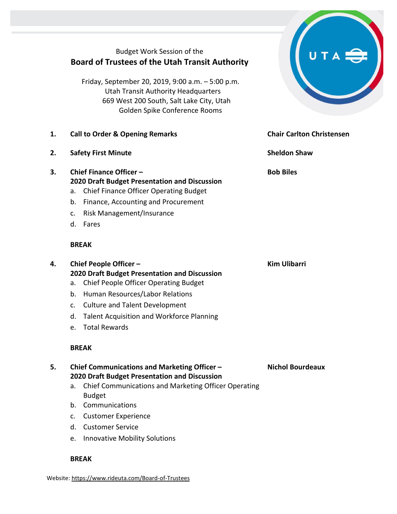Budget Work Session of the **Board of Trustees of the Utah Transit Authority**

Friday, September 20, 2019, 9:00 a.m. – 5:00 p.m. Utah Transit Authority Headquarters 669 West 200 South, Salt Lake City, Utah Golden Spike Conference Rooms

- **1. Call to Order & Opening Remarks Chair Carlton Christensen**
- **2. Safety First Minute Sheldon Shaw**
- **3. Chief Finance Officer – 2020 Draft Budget Presentation and Discussion**
	- a. Chief Finance Officer Operating Budget
	- b. Finance, Accounting and Procurement
	- c. Risk Management/Insurance
	- d. Fares

#### **BREAK**

**4. Chief People Officer – 2020 Draft Budget Presentation and Discussion**

- a. Chief People Officer Operating Budget
- b. Human Resources/Labor Relations
- c. Culture and Talent Development
- d. Talent Acquisition and Workforce Planning
- e. Total Rewards

## **BREAK**

**5. Chief Communications and Marketing Officer – 2020 Draft Budget Presentation and Discussion**

- a. Chief Communications and Marketing Officer Operating Budget
- b. Communications
- c. Customer Experience
- d. Customer Service
- e. Innovative Mobility Solutions

#### **BREAK**

Website[: https://www.rideuta.com/Board-of-Trustees](https://www.rideuta.com/Board-of-Trustees) 



**Bob Biles**

## **Kim Ulibarri**

**Nichol Bourdeaux**